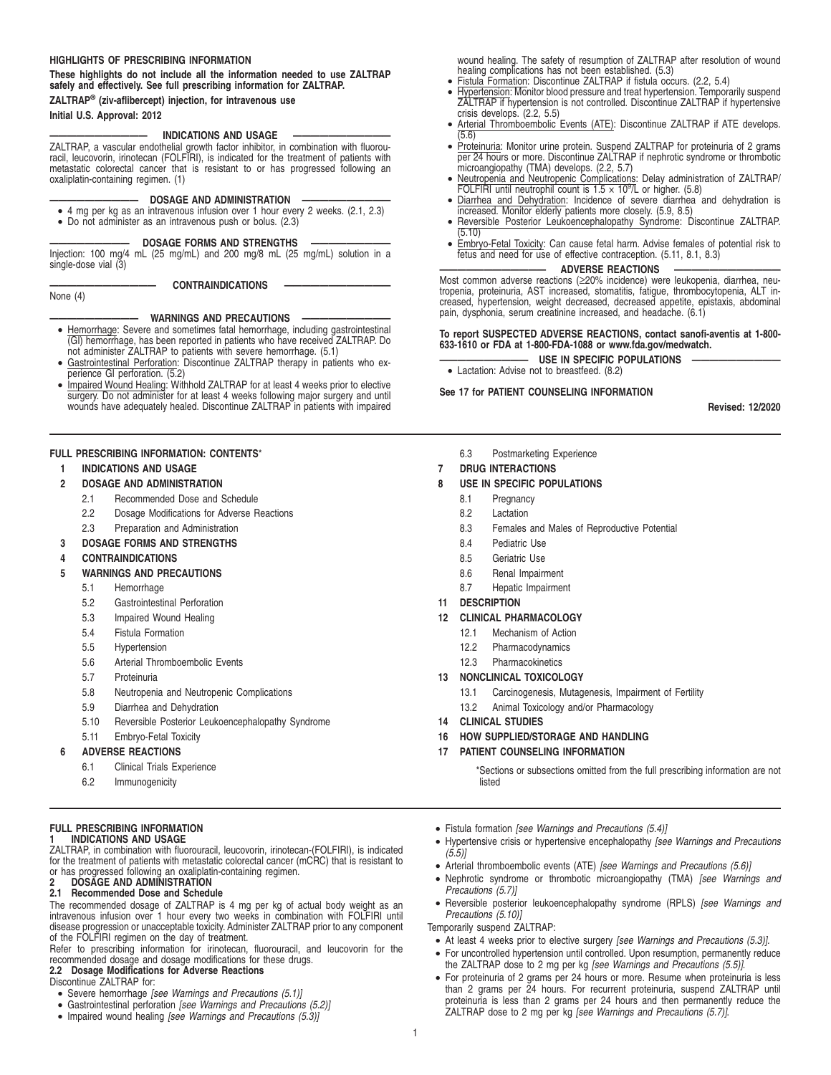#### **HIGHLIGHTS OF PRESCRIBING INFORMATION**

#### **These highlights do not include all the information needed to use ZALTRAP safely and effectively. See full prescribing information for ZALTRAP.**

#### **ZALTRAP® (ziv-aflibercept) injection, for intravenous use Initial U.S. Approval: 2012**

### **INDICATIONS AND USAGE**

ZALTRAP, a vascular endothelial growth factor inhibitor, in combination with fluorouracil, leucovorin, irinotecan (FOLFIRI), is indicated for the treatment of patients with metastatic colorectal cancer that is resistant to or has progressed following an oxaliplatin-containing regimen. (1)

#### **DOSAGE AND ADMINISTRATION -**

• 4 mg per kg as an intravenous infusion over 1 hour every 2 weeks. (2.1, 2.3) • Do not administer as an intravenous push or bolus. (2.3)

#### **DOSAGE FORMS AND STRENGTHS**

Injection: 100 mg/4 mL (25 mg/mL) and 200 mg/8 mL (25 mg/mL) solution in a single-dose vial (3)

CONTRAINDICATIONS

## **—————————— WARNINGS AND PRECAUTIONS ——————————**

- Hemorrhage: Severe and sometimes fatal hemorrhage, including gastrointestinal (GI) hemorrhage, has been reported in patients who have received ZALTRAP. Do
- not administer ZALTRAP to patients with severe hemorrhage. (5.1) Gastrointestinal Perforation: Discontinue ZALTRAP therapy in patients who experience GI perforation. (5.2)
- Impaired Wound Healing: Withhold ZALTRAP for at least 4 weeks prior to elective surgery. Do not administer for at least 4 weeks following major surgery and until wounds have adequately healed. Discontinue ZALTRAP in patients with impaired

### **FULL PRESCRIBING INFORMATION: CONTENTS**\*

**1 INDICATIONS AND USAGE**

None (4)

- **2 DOSAGE AND ADMINISTRATION**
	- 2.1 Recommended Dose and Schedule
	- 2.2 Dosage Modifications for Adverse Reactions
	- 2.3 Preparation and Administration
- **3 DOSAGE FORMS AND STRENGTHS**
- **4 CONTRAINDICATIONS**
- **5 WARNINGS AND PRECAUTIONS**
	- 5.1 Hemorrhage
	- 5.2 Gastrointestinal Perforation
	- 5.3 Impaired Wound Healing
	- 5.4 Fistula Formation
	- 5.5 Hypertension
	- 5.6 Arterial Thromboembolic Events
	- 5.7 Proteinuria
	- 5.8 Neutropenia and Neutropenic Complications
	- 5.9 Diarrhea and Dehydration
	- 5.10 Reversible Posterior Leukoencephalopathy Syndrome
	- 5.11 Embryo-Fetal Toxicity

#### **6 ADVERSE REACTIONS**

- 6.1 Clinical Trials Experience
- 6.2 Immunogenicity

#### **FULL PRESCRIBING INFORMATION 1 INDICATIONS AND USAGE**

ZALTRAP, in combination with fluorouracil, leucovorin, irinotecan-(FOLFIRI), is indicated for the treatment of patients with metastatic colorectal cancer (mCRC) that is resistant to or has progressed following an oxaliplatin-containing regimen.<br>**2 DOSAGE AND ADMINISTRATION<br>2.1 Recommended Dose and Schedule** 

The recommended dosage of ZALTRAP is 4 mg per kg of actual body weight as an intravenous infusion over 1 hour every two weeks in combination with FOLFIRI until disease progression or unacceptable toxicity. Administer ZALTRAP prior to any component of the FOLFIRI regimen on the day of treatment.

Refer to prescribing information for irinotecan, fluorouracil, and leucovorin for the recommended dosage and dosage modifications for these drugs. **2.2 Dosage Modifications for Adverse Reactions**

Discontinue ZALTRAP for:

- Severe hemorrhage [see Warnings and Precautions (5.1)]
- Gastrointestinal perforation [see Warnings and Precautions (5.2)]
- Impaired wound healing [see Warnings and Precautions (5.3)]

wound healing. The safety of resumption of ZALTRAP after resolution of wound healing complications has not been established. (5.3) • Fistula Formation: Discontinue ZALTRAP if fistula occurs. (2.2, 5.4)

- 
- Hypertension: Monitor blood pressure and treat hypertension. Temporarily suspend ZALTRAP if hypertension is not controlled. Discontinue ZALTRAP if hypertensive crisis develops. (2.2, 5.5)
- Arterial Thromboembolic Events (ATE): Discontinue ZALTRAP if ATE develops.
- (5.6) Proteinuria: Monitor urine protein. Suspend ZALTRAP for proteinuria of 2 grams per 24 hours or more. Discontinue ZALTRAP if nephrotic syndrome or thrombotic microangiopathy (TMA) develops. (2.2, 5.7)
- Neutropenia and Neutropenic Complications: Delay administration of ZALTRAP/
- FOLFIRI until neutrophil count is 1.5 × 10<sup>9</sup> /L or higher. (5.8) Diarrhea and Dehydration: Incidence of severe diarrhea and dehydration is increased. Monitor elderly patients more closely. (5.9, 8.5)
- Reversible Posterior Leukoencephalopathy Syndrome: Discontinue ZALTRAP.  $(5.10)$
- Embryo-Fetal Toxicity: Can cause fetal harm. Advise females of potential risk to fetus and need for use of effective contraception. (5.11, 8.1, 8.3)

#### **ADVERSE REACTIONS**

Most common adverse reactions (≥20% incidence) were leukopenia, diarrhea, neutropenia, proteinuria, AST increased, stomatitis, fatigue, thrombocytopenia, ALT in-creased, hypertension, weight decreased, decreased appetite, epistaxis, abdominal pain, dysphonia, serum creatinine increased, and headache. (6.1)

#### **To report SUSPECTED ADVERSE REACTIONS, contact sanofi-aventis at 1-800- 633-1610 or FDA at 1-800-FDA-1088 or www.fda.gov/medwatch.**

- **USE IN SPECIFIC POPULATIONS**
- Lactation: Advise not to breastfeed. (8.2)

## **See 17 for PATIENT COUNSELING INFORMATION**

**Revised: 12/2020**

## 6.3 Postmarketing Experience

### **7 DRUG INTERACTIONS**

### **8 USE IN SPECIFIC POPULATIONS**

- 8.1 Pregnancy
- 8.2 Lactation
- 8.3 Females and Males of Reproductive Potential
- 8.4 Pediatric Use
- 8.5 Geriatric Use
- 8.6 Renal Impairment
- 8.7 Hepatic Impairment
- **11 DESCRIPTION**

### **12 CLINICAL PHARMACOLOGY**

- 12.1 Mechanism of Action
- 12.2 Pharmacodynamics
- 12.3 Pharmacokinetics

### **13 NONCLINICAL TOXICOLOGY**

- 13.1 Carcinogenesis, Mutagenesis, Impairment of Fertility
- 13.2 Animal Toxicology and/or Pharmacology
- **14 CLINICAL STUDIES**
- **16 HOW SUPPLIED/STORAGE AND HANDLING**
- **17 PATIENT COUNSELING INFORMATION**

\*Sections or subsections omitted from the full prescribing information are not listed

- Fistula formation [see Warnings and Precautions (5.4)]
- Hypertensive crisis or hypertensive encephalopathy [see Warnings and Precautions  $(5.5)$ ]
- Arterial thromboembolic events (ATE) [see Warnings and Precautions (5.6)]
- Nephrotic syndrome or thrombotic microangiopathy (TMA) [see Warnings and Precautions (5.7)]
- Reversible posterior leukoencephalopathy syndrome (RPLS) [see Warnings and Precautions (5.10)]

Temporarily suspend ZALTRAP:

- At least 4 weeks prior to elective surgery [see Warnings and Precautions (5.3)].
- For uncontrolled hypertension until controlled. Upon resumption, permanently reduce the ZALTRAP dose to 2 mg per kg [see Warnings and Precautions (5.5)].
- For proteinuria of 2 grams per 24 hours or more. Resume when proteinuria is less than 2 grams per 24 hours. For recurrent proteinuria, suspend ZALTRAP until proteinuria is less than 2 grams per 24 hours and then permanently reduce the ZALTRAP dose to 2 mg per kg [see Warnings and Precautions (5.7)].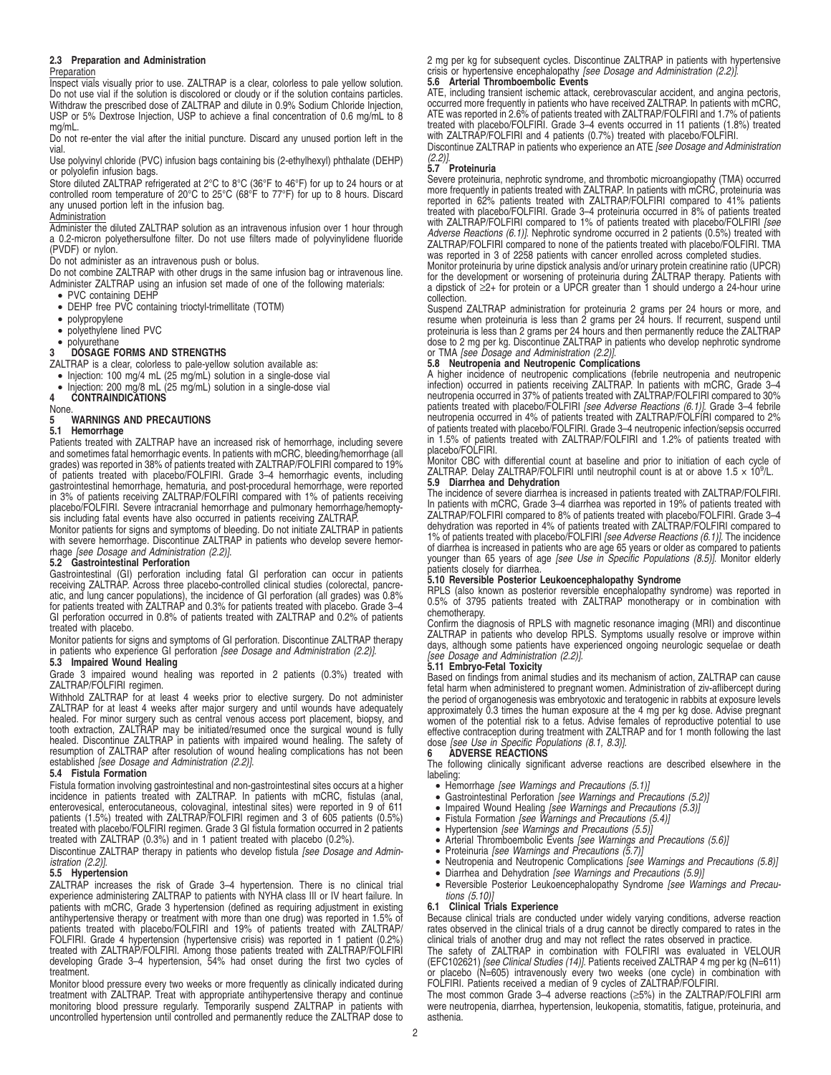#### **2.3 Preparation and Administration**

#### Preparation

**Inspect vials visually prior to use. ZALTRAP is a clear, colorless to pale yellow solution.** Do not use vial if the solution is discolored or cloudy or if the solution contains particles. Withdraw the prescribed dose of ZALTRAP and dilute in 0.9% Sodium Chloride Injection, USP or 5% Dextrose Injection, USP to achieve a final concentration of 0.6 mg/mL to 8 mg/mL.

Do not re-enter the vial after the initial puncture. Discard any unused portion left in the vial.

Use polyvinyl chloride (PVC) infusion bags containing bis (2-ethylhexyl) phthalate (DEHP) or polyolefin infusion bags.

Store diluted ZALTRAP refrigerated at 2°C to 8°C (36°F to 46°F) for up to 24 hours or at controlled room temperature of 20°C to 25°C (68°F to 77°F) for up to 8 hours. Discard any unused portion left in the infusion bag.

#### Administration

Administer the diluted ZALTRAP solution as an intravenous infusion over 1 hour through a 0.2-micron polyethersulfone filter. Do not use filters made of polyvinylidene fluoride (PVDF) or nylon.

Do not administer as an intravenous push or bolus.

Do not combine ZALTRAP with other drugs in the same infusion bag or intravenous line. Administer ZALTRAP using an infusion set made of one of the following materials: • PVC containing DEHP

- 
- DEHP free PVC containing trioctyl-trimellitate (TOTM)
- polypropylene
- polyethylene lined PVC
- polyurethane

## **3 DOSAGE FORMS AND STRENGTHS**

ZALTRAP is a clear, colorless to pale-yellow solution available as:

- Injection: 100 mg/4 mL (25 mg/mL) solution in a single-dose vial
- Injection: 200 mg/8 mL (25 mg/mL) solution in a single-dose vial  $\overline{4}$  CONTRAINDICATIONS

**4 CONTRAINDICATIONS**

#### None. **5 WARNINGS AND PRECAUTIONS**

# **5.1 Hemorrhage**

Patients treated with ZALTRAP have an increased risk of hemorrhage, including severe and sometimes fatal hemorrhagic events. In patients with mCRC, bleeding/hemorrhage (all grades) was reported in 38% of patients treated with ZALTRAP/FOLFIRI compared to 19% of patients treated with placebo/FOLFIRI. Grade 3–4 hemorrhagic events, including gastrointestinal hemorrhage, hematuria, and post-procedural hemorrhage, were reported in 3% of patients receiving ZALTRAP/FOLFIRI compared with 1% of patients receiving placebo/FOLFIRI. Severe intracranial hemorrhage and pulmonary hemorrhage/hemoptysis including fatal events have also occurred in patients receiving ZALTRAP.

Monitor patients for signs and symptoms of bleeding. Do not initiate ZALTRAP in patients with severe hemorrhage. Discontinue ZALTRAP in patients who develop severe hemorrhage [see Dosage and Administration (2.2)]. **5.2 Gastrointestinal Perforation**

Gastrointestinal (GI) perforation including fatal GI perforation can occur in patients receiving ZALTRAP. Across three placebo-controlled clinical studies (colorectal, pancreatic, and lung cancer populations), the incidence of GI perforation (all grades) was 0.8%<br>for patients treated with ZALTRAP and 0.3% for patients treated with placebo. Grade 3–4<br>GI perforation occurred in 0.8% of patients treated with placebo.

Monitor patients for signs and symptoms of GI perforation. Discontinue ZALTRAP therapy in patients who experience GI perforation [see Dosage and Administration (2.2)].

## **5.3 Impaired Wound Healing**

Grade 3 impaired wound healing was reported in 2 patients (0.3%) treated with ZALTRAP/FOLFIRI regimen.

Withhold ZALTRAP for at least 4 weeks prior to elective surgery. Do not administer ZALTRAP for at least 4 weeks after major surgery and until wounds have adequately healed. For minor surgery such as central venous access port placement, biopsy, and<br>tooth extraction, ZALTRAP may be initiated/resumed once the surgical wound is fully<br>healed. Discontinue ZALTRAP in patients with impaired resumption of ZALTRAP after resolution of wound healing complications has not been established [see Dosage and Administration (2.2)].

#### **5.4 Fistula Formation**

Fistula formation involving gastrointestinal and non-gastrointestinal sites occurs at a higher incidence in patients treated with ZALTRAP. In patients with mCRC, fistulas (anal,<br>enterovesical, enterocutaneous, colovaginal, intestinal sites) were reported in 9 of 611<br>patients (1.5%) treated with ZALTRAP/FOLFIRI regim treated with placebo/FOLFIRI regimen. Grade 3 GI fistula formation occurred in 2 patients treated with ZALTRAP (0.3%) and in 1 patient treated with placebo (0.2%).

Discontinue ZALTRAP therapy in patients who develop fistula [see Dosage and Administration (2.2)].

## **5.5 Hypertension**

ZALTRAP increases the risk of Grade 3–4 hypertension. There is no clinical trial experience administering ZALTRAP to patients with NYHA class III or IV heart failure. In patients with mCRC, Grade 3 hypertension (defined as requiring adjustment in existing antihypertensive therapy or treatment with more than one drug) was reported in 1.5% of patients treated with placebo/FOLFIRI and 19% of patients treated with ZALTRAP/ FOLFIRI. Grade 4 hypertension (hypertensive crisis) was reported in 1 patient (0.2%)<br>treated with ZALTRAP/FOLFIRI. Among those patients treated with ZALTRAP/FOLFIRI<br>developing Grade 3–4 hypertension, 54% had onset during t treatment.

Monitor blood pressure every two weeks or more frequently as clinically indicated during treatment with ZALTRAP. Treat with appropriate antihypertensive therapy and continue monitoring blood pressure regularly. Temporarily suspend ZALTRAP in patients with uncontrolled hypertension until controlled and permanently reduce the ZALTRAP dose to 2 mg per kg for subsequent cycles. Discontinue ZALTRAP in patients with hypertensive crisis or hypertensive encephalopathy [see Dosage and Administration (2.2)

## **5.6 Arterial Thromboembolic Events**

ATE, including transient ischemic attack, cerebrovascular accident, and angina pectoris,<br>occurred more frequently in patients who have received ZALTRAP. In patients with mCRC,<br>ATE was reported in 2.6% of patients treated w treated with placebo/FOLFIRI. Grade 3–4 events occurred in 11 patients (1.8%) treated with ZALTRAP/FOLFIRI and 4 patients (0.7%) treated with placebo/FOLFIRI.

Discontinue ZALTRAP in patients who experience an ATE [see Dosage and Administration  $(2.2)$ ].

## **5.7 Proteinuria**

Severe proteinuria, nephrotic syndrome, and thrombotic microangiopathy (TMA) occurred more frequently in patients treated with ZALTRAP. In patients with mCRC, proteinuria was reported in 62% patients treated with ZALTRAP/FOLFIRI compared to 41% patients treated with placebo/FOLFIRI. Grade 3–4 proteinuria occurred in 8% of patients treated<br>with ZALTRAP/FOLFIRI compared to 1% of patients treated with placebo/FOLFIRI *[see* Adverse Reactions (6.1)]. Nephrotic syndrome occurred in 2 patients (0.5%) treated with ZALTRAP/FOLFIRI compared to none of the patients treated with placebo/FOLFIRI. TMA was reported in 3 of 2258 patients with cancer enrolled across completed studies.

Monitor proteinuria by urine dipstick analysis and/or urinary protein creatinine ratio (UPCR)<br>for the development or worsening of proteinuria during ZALTRAP therapy. Patients with<br>a dipstick of ≥2+ for protein or a UPCR g collection.

Suspend ZALTRAP administration for proteinuria 2 grams per 24 hours or more, and<br>resume when proteinuria is less than 2 grams per 24 hours. If recurrent, suspend until<br>proteinuria is less than 2 grams per 24 hours and then or TMA [see Dosage and Administration (2.2)].

## **5.8 Neutropenia and Neutropenic Complications**

A higher incidence of neutropenic complications (febrile neutropenia and neutropenic<br>infection) occurred in patients receiving ZALTRAP. In patients with mCRC, Grade 3-4<br>neutropenia occurred in 37% of patients treated with placebo/FOLFIRI.

Monitor CBC with differential count at baseline and prior to initiation of each cycle of ZALTRAP. Delay ZALTRAP/FOLFIRI until neutrophil count is at or above 1.5 × 10<sup>9</sup> /L. **5.9 Diarrhea and Dehydration**

The incidence of severe diarrhea is increased in patients treated with ZALTRAP/FOLFIRI. In patients with mCRC, Grade 3-4 diarrhea was reported in 19% of patients treated with ZALTRAP/FOLFIRI compared to 8% of patients treated with placebo/FOLFIRI. Grade 3–4 dehydration was reported in 4% of patients treated with ZALTRAP/FOLFIRI compared to 1% of patients treated with placebo/FOLFIRI [see Adverse Reactions (6.1)]. The incidence of diarrhea is increased in patients who are age 65 years or older as compared to patients<br>younger than 65 years of age *[see Use in Specific Populations (8.5)]*. Monitor elderly patients closely for diarrhea.

#### **5.10 Reversible Posterior Leukoencephalopathy Syndrome**

RPLS (also known as posterior reversible encephalopathy syndrome) was reported in 0.5% of 3795 patients treated with ZALTRAP monotherapy or in combination with chemotherapy.

Confirm the diagnosis of RPLS with magnetic resonance imaging (MRI) and discontinue ZALTRAP in patients who develop RPLS. Symptoms usually resolve or improve within days, although some patients have experienced ongoing neurologic sequelae or death [see Dosage and Administration (2.2)].

#### **5.11 Embryo-Fetal Toxicity**

Based on findings from animal studies and its mechanism of action, ZALTRAP can cause fetal harm when administered to pregnant women. Administration of ziv-aflibercept during the period of organogenesis was embryotoxic and teratogenic in rabbits at exposure levels<br>approximately 0.3 times the human exposure at the 4 mg per kg dose. Advise pregnant<br>women of the potential risk to a fetus. Advise f effective contraception during treatment with ZALTRAP and for 1 month following the last<br>dose *[see Use in Specific Populations (8.1, 8.3)]*.

#### **6 ADVERSE REACTIONS**

The following clinically significant adverse reactions are described elsewhere in the labeling:

- 
- Hemorrhage [see Warnings and Precautions (5.1)]<br>• Gastrointestinal Perforation [see Warnings and Precautions (5.2)]
- Impaired Wound Healing [see Warnings and Precautions (5.3)]<br>• Fistula Formation [see Warnings and Precautions (5.4)]<br>• Hypertension [see Warnings and Precautions (5.5)]
- 
- 
- Arterial Thromboembolic Events [see Warnings and Precautions (5.6)] Proteinuria [see Warnings and Precautions (5.7)]
- 
- Neutropenia and Neutropenic Complications [see Warnings and Precautions (5.8)]
- Diarrhea and Dehydration [see Warnings and Precautions (5.9)]
- Reversible Posterior Leukoencephalopathy Syndrome [see Warnings and Precautions (5.10)]

#### **6.1 Clinical Trials Experience**

Because clinical trials are conducted under widely varying conditions, adverse reaction rates observed in the clinical trials of a drug cannot be directly compared to rates in the clinical trials of another drug and may not reflect the rates observed in practice.

The safety of ZALTRAP in combination with FOLFIRI was evaluated in VELOUR<br>(EFC102621) [see Clinical Studies (14)]. Patients received ZALTRAP 4 mg per kg (N=611)<br>or placebo (N=605) intravenously every two weeks (one cycle)

The most common Grade 3–4 adverse reactions (≥5%) in the ZALTRAP/FOLFIRI arm were neutropenia, diarrhea, hypertension, leukopenia, stomatitis, fatigue, proteinuria, and asthenia.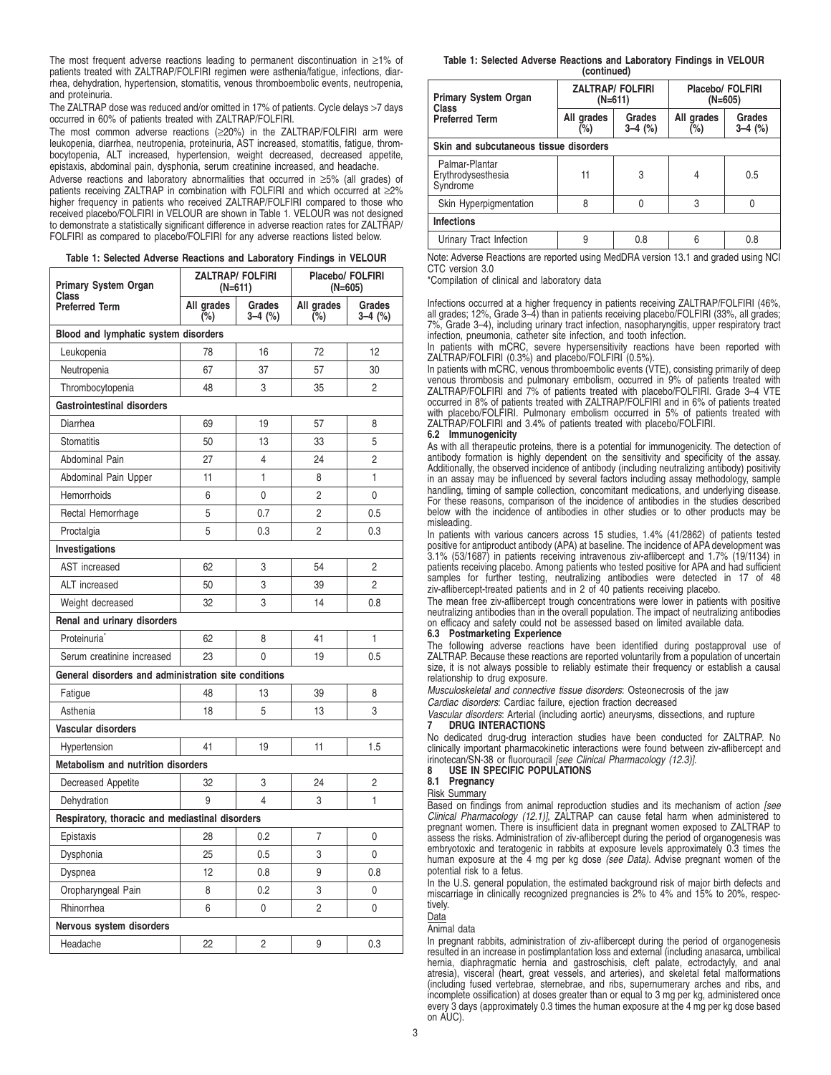The most frequent adverse reactions leading to permanent discontinuation in ≥1% of patients treated with ZALTRAP/FOLFIRI regimen were asthenia/fatigue, infections, diarrhea, dehydration, hypertension, stomatitis, venous thromboembolic events, neutropenia, and proteinuria.

The ZALTRAP dose was reduced and/or omitted in 17% of patients. Cycle delays >7 days occurred in 60% of patients treated with ZALTRAP/FOLFIRI.

The most common adverse reactions (≥20%) in the ZALTRAP/FOLFIRI arm were leukopenia, diarrhea, neutropenia, proteinuria, AST increased, stomatitis, fatigue, thrombocytopenia, ALT increased, hypertension, weight decreased, decreased appetite, epistaxis, abdominal pain, dysphonia, serum creatinine increased, and headache.

Adverse reactions and laboratory abnormalities that occurred in ≥5% (all grades) of patients receiving ZALTRAP in combination with FOLFIRI and which occurred at ≥2% higher frequency in patients who received ZALTRAP/FOLFIRI compared to those who received placebo/FOLFIRI in VELOUR are shown in Table 1. VELOUR was not designed to demonstrate a statistically significant difference in adverse reaction rates for ZALTRAP/ FOLFIRI as compared to placebo/FOLFIRI for any adverse reactions listed below.

| Table 1: Selected Adverse Reactions and Laboratory Findings in VELOUR |  |  |  |  |  |  |  |  |
|-----------------------------------------------------------------------|--|--|--|--|--|--|--|--|
|-----------------------------------------------------------------------|--|--|--|--|--|--|--|--|

| <b>Primary System Organ</b><br>Class                 |                   | <b>ZALTRAP/ FOLFIRI</b><br>$(N=611)$ | Placebo/ FOLFIRI<br>$(N=605)$ |                   |  |
|------------------------------------------------------|-------------------|--------------------------------------|-------------------------------|-------------------|--|
| <b>Preferred Term</b>                                | All grades<br>(%) | Grades<br>3–4 (%)                    | All grades<br>(%)             | Grades<br>3–4 (%) |  |
| Blood and lymphatic system disorders                 |                   |                                      |                               |                   |  |
| Leukopenia                                           | 78                | 16                                   | 72                            | 12                |  |
| Neutropenia                                          | 67                | 37                                   | 57                            | 30                |  |
| Thrombocytopenia                                     | 48                | 3                                    | 35                            | 2                 |  |
| <b>Gastrointestinal disorders</b>                    |                   |                                      |                               |                   |  |
| Diarrhea                                             | 69                | 19                                   | 57                            | 8                 |  |
| <b>Stomatitis</b>                                    | 50                | 13                                   | 33                            | 5                 |  |
| Abdominal Pain                                       | 27                | 4                                    | 24                            | $\overline{c}$    |  |
| Abdominal Pain Upper                                 | 11                | 1                                    | 8                             | 1                 |  |
| Hemorrhoids                                          | 6                 | 0                                    | 2                             | 0                 |  |
| Rectal Hemorrhage                                    | 5                 | 0.7                                  | $\overline{c}$                | 0.5               |  |
| Proctalgia                                           | 5                 | 0.3                                  | 2                             | 0.3               |  |
| Investigations                                       |                   |                                      |                               |                   |  |
| <b>AST</b> increased                                 | 62                | 3                                    | 54                            | $\overline{c}$    |  |
| ALT increased                                        | 50                | 3                                    | 39                            | $\overline{c}$    |  |
| Weight decreased                                     | 32                | 3                                    | 14                            | 0.8               |  |
| Renal and urinary disorders                          |                   |                                      |                               |                   |  |
| Proteinuria <sup>®</sup>                             | 62                | 8                                    | 41                            | 1                 |  |
| Serum creatinine increased                           | 23                | 0                                    | 19                            | 0.5               |  |
| General disorders and administration site conditions |                   |                                      |                               |                   |  |
| Fatigue                                              | 48                | 13                                   | 39                            | 8                 |  |
| Asthenia                                             | 18                | 5                                    | 13                            | 3                 |  |
| Vascular disorders                                   |                   |                                      |                               |                   |  |
| Hypertension                                         | 41                | 19                                   | 11                            | 1.5               |  |
| <b>Metabolism and nutrition disorders</b>            |                   |                                      |                               |                   |  |
| Decreased Appetite                                   | 32                | 3                                    | 24                            | 2                 |  |
| Dehydration                                          | 9                 | $\overline{\mathcal{L}}$             | 3                             | 1                 |  |
| Respiratory, thoracic and mediastinal disorders      |                   |                                      |                               |                   |  |
| Epistaxis                                            | 28                | 0.2                                  | 7                             | 0                 |  |
| Dysphonia                                            | 25                | 0.5                                  | 3                             | 0                 |  |
| Dyspnea                                              | 12                | 0.8                                  | 9                             | 0.8               |  |
| Oropharyngeal Pain                                   | 8                 | 0.2                                  | 3                             | 0                 |  |
| Rhinorrhea                                           | 6                 | 0                                    | 2                             | 0                 |  |
| Nervous system disorders                             |                   |                                      |                               |                   |  |
| Headache                                             | 22                | 2                                    | 9                             | 0.3               |  |

#### **Table 1: Selected Adverse Reactions and Laboratory Findings in VELOUR (continued)**

| <b>Primary System Organ</b>                      | <b>ZALTRAP/FOLFIRI</b><br>$(N=611)$ |                     | Placebo/ FOLFIRI<br>(N=605) |                     |  |
|--------------------------------------------------|-------------------------------------|---------------------|-----------------------------|---------------------|--|
| Class<br><b>Preferred Term</b>                   | All grades<br>$(\%)$                | Grades<br>$3-4$ (%) | All grades<br>(%)           | Grades<br>$3-4$ (%) |  |
| Skin and subcutaneous tissue disorders           |                                     |                     |                             |                     |  |
| Palmar-Plantar<br>Erythrodysesthesia<br>Syndrome | 11                                  | 3                   | 4                           | 0.5                 |  |
| Skin Hyperpigmentation                           | 8                                   | 0                   | 3                           | 0                   |  |
| <b>Infections</b>                                |                                     |                     |                             |                     |  |
| Urinary Tract Infection                          | 9                                   | 0.8                 | հ                           | 0.8                 |  |

Note: Adverse Reactions are reported using MedDRA version 13.1 and graded using NCI CTC version 3.0

\*Compilation of clinical and laboratory data

Infections occurred at a higher frequency in patients receiving ZALTRAP/FOLFIRI (46%, all grades; 12%, Grade 3–4) than in patients receiving placebo/FOLFIRI (33%, all grades; 7%, Grade 3–4), including urinary tract infection, nasopharyngitis, upper respiratory tract infection, pneumonia, catheter site infection, and tooth infection.

In patients with mCRC, severe hypersensitivity reactions have been reported with ZALTRAP/FOLFIRI (0.3%) and placebo/FOLFIRI (0.5%).

In patients with mCRC, venous thromboembolic events (VTE), consisting primarily of deep venous thrombosis and pulmonary embolism, occurred in 9% of patients treated with ZALTRAP/FOLFIRI and 7% of patients treated with placebo/FOLFIRI. Grade 3–4 VTE occurred in 8% of patients treated with ZALTRAP/FOLFIRI and in 6% of patients treated with placebo/FOLFIRI. Pulmonary embolism occurred in 5% of patients treated with ZALTRAP/FOLFIRI and 3.4% of patients treated with placebo/FOLFIRI.

## **6.2 Immunogenicity**

As with all therapeutic proteins, there is a potential for immunogenicity. The detection of antibody formation is highly dependent on the sensitivity and specificity of the assay. Additionally, the observed incidence of antibody (including neutralizing antibody) positivity in an assay may be influenced by several factors including assay methodology, sample handling, timing of sample collection, concomitant medications, and underlying disease. For these reasons, comparison of the incidence of antibodies in the studies described below with the incidence of antibodies in other studies or to other products may be misleading.

In patients with various cancers across 15 studies, 1.4% (41/2862) of patients tested positive for antiproduct antibody (APA) at baseline. The incidence of APA development was 3.1% (53/1687) in patients receiving intravenous ziv-aflibercept and 1.7% (19/1134) in patients receiving placebo. Among patients who tested positive for APA and had sufficient samples for further testing, neutralizing antibodies were detected in 17 of 48 ziv-aflibercept-treated patients and in 2 of 40 patients receiving placebo.

The mean free ziv-aflibercept trough concentrations were lower in patients with positive neutralizing antibodies than in the overall population. The impact of neutralizing antibodies on efficacy and safety could not be assessed based on limited available data.

## **6.3 Postmarketing Experience**

The following adverse reactions have been identified during postapproval use of ZALTRAP. Because these reactions are reported voluntarily from a population of uncertain size, it is not always possible to reliably estimate their frequency or establish a causal relationship to drug exposure.

Musculoskeletal and connective tissue disorders: Osteonecrosis of the jaw

Cardiac disorders: Cardiac failure, ejection fraction decreased

Vascular disorders: Arterial (including aortic) aneurysms, dissections, and rupture **7 DRUG INTERACTIONS**

No dedicated drug-drug interaction studies have been conducted for ZALTRAP. No clinically important pharmacokinetic interactions were found between ziv-aflibercept and irinotecan/SN-38 or fluorouracil [see Clinical Pharmacology (12.3)]. **8 USE IN SPECIFIC POPULATIONS**

**8.1 Pregnancy**

Risk Summary

Based on findings from animal reproduction studies and its mechanism of action [see Clinical Pharmacology (12.1)], ZALTRAP can cause fetal harm when administered to pregnant women. There is insufficient data in pregnant women exposed to ZALTRAP to assess the risks. Administration of ziv-aflibercept during the period of organogenesis was embryotoxic and teratogenic in rabbits at exposure levels approximately 0.3 times the human exposure at the 4 mg per kg dose (see Data). Advise pregnant women of the potential risk to a fetus.

In the U.S. general population, the estimated background risk of major birth defects and miscarriage in clinically recognized pregnancies is 2% to 4% and 15% to 20%, respectively.

Data

Animal data

In pregnant rabbits, administration of ziv-aflibercept during the period of organogenesis resulted in an increase in postimplantation loss and external (including anasarca, umbilical hernia, diaphragmatic hernia and gastroschisis, cleft palate, ectrodactyly, and anal atresia), visceral (heart, great vessels, and arteries), and skeletal fetal malformations (including fused vertebrae, sternebrae, and ribs, supernumerary arches and ribs, and incomplete ossification) at doses greater than or equal to 3 mg per kg, administered once every 3 days (approximately 0.3 times the human exposure at the 4 mg per kg dose based on AUC).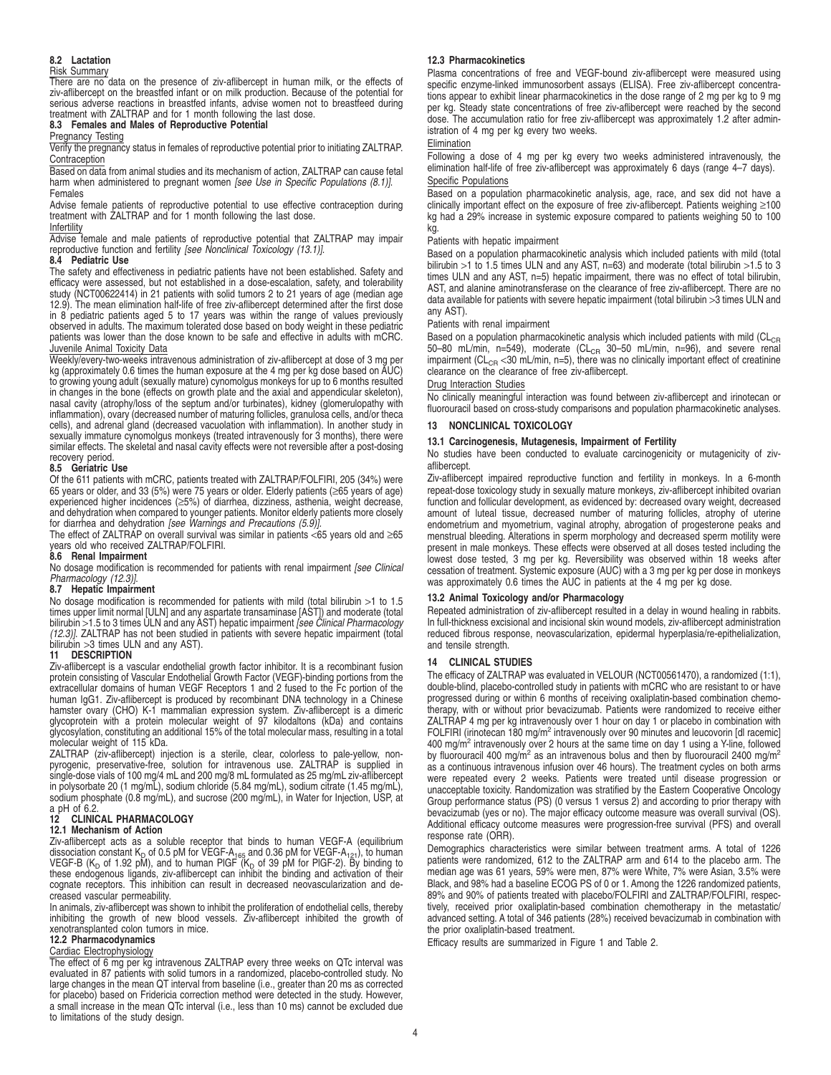## **8.2 Lactation**

#### Risk Summary

There are no data on the presence of ziv-aflibercept in human milk, or the effects of ziv-aflibercept on the breastfed infant or on milk production. Because of the potential for serious adverse reactions in breastfed infants, advise women not to breastfeed during treatment with ZALTRAP and for 1 month following the last dose.

## **8.3 Females and Males of Reproductive Potential**

### Pregnancy Testing

Verify the pregnancy status in females of reproductive potential prior to initiating ZALTRAP. Contraception

Based on data from animal studies and its mechanism of action, ZALTRAP can cause fetal harm when administered to pregnant women [see Use in Specific Populations (8.1)]. Females

Advise female patients of reproductive potential to use effective contraception during treatment with ZALTRAP and for 1 month following the last dose.

## Infertility

Advise female and male patients of reproductive potential that ZALTRAP may impair reproductive function and fertility [see Nonclinical Toxicology (13.1)].

#### **8.4 Pediatric Use**

The safety and effectiveness in pediatric patients have not been established. Safety and efficacy were assessed, but not established in a dose-escalation, safety, and tolerability study (NCT00622414) in 21 patients with solid tumors 2 to 21 years of age (median age 12.9). The mean elimination half-life of free ziv-aflibercept determined after the first dose in  $8'$  pediatric patients aged 5 to 17 years was within the range of values previously observed in adults. The maximum tolerated dose based on body weight in these pediatric patients was lower than the dose known to be safe and effective in adults with mCRC. Juvenile Animal Toxicity Data

Weekly/every-two-weeks intravenous administration of ziv-aflibercept at dose of 3 mg per kg (approximately 0.6 times the human exposure at the 4 mg per kg dose based on AUC) to growing young adult (sexually mature) cynomolgus monkeys for up to 6 months resulted in changes in the bone (effects on growth plate and the axial and appendicular skeleton), nasal cavity (atrophy/loss of the septum and/or turbinates), kidney (glomerulopathy with inflammation), ovary (decreased number of maturing follicles, granulosa cells, and/or theca cells), and adrenal gland (decreased vacuolation with inflammation). In another study in sexually immature cynomolgus monkeys (treated intravenously for 3 months), there were similar effects. The skeletal and nasal cavity effects were not reversible after a post-dosing recovery period.

#### **8.5 Geriatric Use**

Of the 611 patients with mCRC, patients treated with ZALTRAP/FOLFIRI, 205 (34%) were 65 years or older, and 33 (5%) were 75 years or older. Elderly patients (≥65 years of age) experienced higher incidences (≥5%) of diarrhea, dizziness, asthenia, weight decrease, and dehydration when compared to younger patients. Monitor elderly patients more closely for diarrhea and dehydration [see Warnings and Precautions (5.9)]

The effect of ZALTRAP on overall survival was similar in patients <65 years old and ≥65 years old who received ZALTRAP/FOLFIRI. **8.6 Renal Impairment**

No dosage modification is recommended for patients with renal impairment [see Clinical<br>Pharmacology (12.3)].

#### **8.7 Hepatic Impairment**

No dosage modification is recommended for patients with mild (total bilirubin >1 to 1.5 times upper limit normal [ULN] and any aspartate transaminase [AST]) and moderate (total<br>bilirubin >1.5 to 3 times ULN and any AST) hepatic impairment *[see Clinical Pharmacology* (12.3)]. ZALTRAP has not been studied in patients with severe hepatic impairment (total bilirubin >3 times ULN and any AST).

#### **11 DESCRIPTION**

Ziv-aflibercept is a vascular endothelial growth factor inhibitor. It is a recombinant fusion protein consisting of Vascular Endothelial Growth Factor (VEGF)-binding portions from the extracellular domains of human VEGF Receptors 1 and 2 fused to the Fc portion of the human IgG1. Ziv-aflibercept is produced by recombinant DNA technology in a Chinese hamster ovary (CHO) K-1 mammalian expression system. Ziv-aflibercept is a dimeric glycoprotein with a protein molecular weight of 97 kilodaltons (kDa) and contains glycosylation, constituting an additional 15% of the total molecular mass, resulting in a total molecular weight of 115 kDa.

ZALTRAP (ziv-aflibercept) injection is a sterile, clear, colorless to pale-yellow, non-<br>pyrogenic, preservative-free, solution for intravenous use. ZALTRAP is supplied in<br>single-dose vials of 100 mg/4 mL and 200 mg/8 mL fo in polysorbate 20 (1 mg/mL), sodium chloride (5.84 mg/mL), sodium citrate (1.45 mg/mL), sodium phosphate (0.8 mg/mL), and sucrose (200 mg/mL), in Water for Injection, USP, at a pH of 6.2.

## **12 CLINICAL PHARMACOLOGY**

#### **12.1 Mechanism of Action**

Ziv-aflibercept acts as a soluble receptor that binds to human VEGF-A (equilibrium<br>dissociation constant K<sub>D</sub> of 0.5 pM for VEGF-A<sub>165</sub> and 0.36 pM for VEGF-A<sub>121</sub>), to human<br>VEGF-B (K<sub>D</sub> of 1.92 pM), and to human PIGF (K<sub></sub> cognate receptors. This inhibition can result in decreased neovascularization and decreased vascular permeability.

In animals, ziv-aflibercept was shown to inhibit the proliferation of endothelial cells, thereby inhibiting the growth of new blood vessels. Ziv-aflibercept inhibited the growth of xenotransplanted colon tumors in mice.

#### **12.2 Pharmacodynamics**

#### Cardiac Electrophysiology

The effect of 6 mg per kg intravenous ZALTRAP every three weeks on QTc interval was evaluated in 87 patients with solid tumors in a randomized, placebo-controlled study. No large changes in the mean QT interval from baseline (i.e., greater than 20 ms as corrected for placebo) based on Fridericia correction method were detected in the study. However, a small increase in the mean QTc interval (i.e., less than 10 ms) cannot be excluded due to limitations of the study design.

#### **12.3 Pharmacokinetics**

Plasma concentrations of free and VEGF-bound ziv-aflibercept were measured using specific enzyme-linked immunosorbent assays (ELISA). Free ziv-aflibercept concentrations appear to exhibit linear pharmacokinetics in the dose range of 2 mg per kg to 9 mg per kg. Steady state concentrations of free ziv-aflibercept were reached by the second dose. The accumulation ratio for free ziv-aflibercept was approximately 1.2 after administration of 4 mg per kg every two weeks.

#### Elimination

Following a dose of 4 mg per kg every two weeks administered intravenously, the elimination half-life of free ziv-aflibercept was approximately 6 days (range 4–7 days). Specific Populations

Based on a population pharmacokinetic analysis, age, race, and sex did not have a clinically important effect on the exposure of free ziv-aflibercept. Patients weighing ≥100 kg had a 29% increase in systemic exposure compared to patients weighing 50 to 100 kg.

#### Patients with hepatic impairment

Based on a population pharmacokinetic analysis which included patients with mild (total bilirubin >1 to 1.5 times ULN and any AST, n=63) and moderate (total bilirubin >1.5 to 3 times ULN and any AST, n=5) hepatic impairment, there was no effect of total bilirubin, AST, and alanine aminotransferase on the clearance of free ziv-aflibercept. There are no data available for patients with severe hepatic impairment (total bilirubin >3 times ULN and any AST).

#### Patients with renal impairment

Based on a population pharmacokinetic analysis which included patients with mild ( $CL_{CR}$ 50–80 mL/min, n=549), moderate (CL<sub>CR</sub> 30–50 mL/min, n=96), and severe renal impairment ( $CL<sub>CR</sub> < 30$  mL/min, n=5), there was no clinically important effect of creatinine clearance on the clearance of free ziv-aflibercept.

### Drug Interaction Studies

No clinically meaningful interaction was found between ziv-aflibercept and irinotecan or fluorouracil based on cross-study comparisons and population pharmacokinetic analyses.

## **13 NONCLINICAL TOXICOLOGY**

#### **13.1 Carcinogenesis, Mutagenesis, Impairment of Fertility**

No studies have been conducted to evaluate carcinogenicity or mutagenicity of zivaflibercept.

Ziv-aflibercept impaired reproductive function and fertility in monkeys. In a 6-month repeat-dose toxicology study in sexually mature monkeys, ziv-aflibercept inhibited ovarian function and follicular development, as evidenced by: decreased ovary weight, decreased amount of luteal tissue, decreased number of maturing follicles, atrophy of uterine endometrium and myometrium, vaginal atrophy, abrogation of progesterone peaks and menstrual bleeding. Alterations in sperm morphology and decreased sperm motility were present in male monkeys. These effects were observed at all doses tested including the lowest dose tested, 3 mg per kg. Reversibility was observed within 18 weeks after cessation of treatment. Systemic exposure (AUC) with a 3 mg per kg per dose in monkeys was approximately 0.6 times the AUC in patients at the 4 mg per kg dose.

#### **13.2 Animal Toxicology and/or Pharmacology**

Repeated administration of ziv-aflibercept resulted in a delay in wound healing in rabbits. In full-thickness excisional and incisional skin wound models, ziv-aflibercept administration reduced fibrous response, neovascularization, epidermal hyperplasia/re-epithelialization, and tensile strength.

#### **14 CLINICAL STUDIES**

The efficacy of ZALTRAP was evaluated in VELOUR (NCT00561470), a randomized (1:1), double-blind, placebo-controlled study in patients with mCRC who are resistant to or have progressed during or within 6 months of receiving oxaliplatin-based combination chemotherapy, with or without prior bevacizumab. Patients were randomized to receive either ZALTRAP 4 mg per kg intravenously over 1 hour on day 1 or placebo in combination with FOLFIRI (irinotecan 180 mg/m<sup>2</sup> intravenously over 90 minutes and leucovorin [dl racemic] 400 mg/m<sup>2</sup> intravenously over 2 hours at the same time on day 1 using a Y-line, followed by fluorouracil 400 mg/m<sup>2</sup> as an intravenous bolus and then by fluorouracil 2400 mg/m<sup>2</sup> as a continuous intravenous infusion over 46 hours). The treatment cycles on both arms were repeated every 2 weeks. Patients were treated until disease progression or unacceptable toxicity. Randomization was stratified by the Eastern Cooperative Oncology Group performance status (PS) (0 versus 1 versus 2) and according to prior therapy with bevacizumab (yes or no). The major efficacy outcome measure was overall survival (OS). Additional efficacy outcome measures were progression-free survival (PFS) and overall response rate (ORR).

Demographics characteristics were similar between treatment arms. A total of 1226 patients were randomized, 612 to the ZALTRAP arm and 614 to the placebo arm. The median age was 61 years, 59% were men, 87% were White, 7% were Asian, 3.5% were Black, and 98% had a baseline ECOG PS of 0 or 1. Among the 1226 randomized patients, 89% and 90% of patients treated with placebo/FOLFIRI and ZALTRAP/FOLFIRI, respectively, received prior oxaliplatin-based combination chemotherapy in the metastatic/ advanced setting. A total of 346 patients (28%) received bevacizumab in combination with the prior oxaliplatin-based treatment.

Efficacy results are summarized in Figure 1 and Table 2.